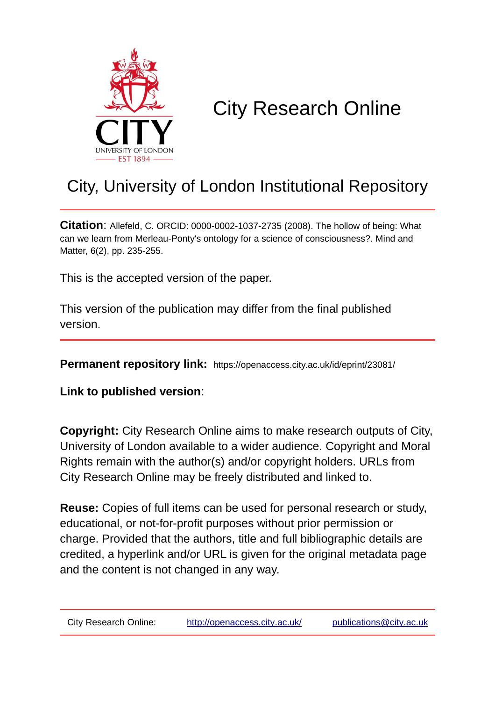

# City Research Online

# City, University of London Institutional Repository

**Citation**: Allefeld, C. ORCID: 0000-0002-1037-2735 (2008). The hollow of being: What can we learn from Merleau-Ponty's ontology for a science of consciousness?. Mind and Matter, 6(2), pp. 235-255.

This is the accepted version of the paper.

This version of the publication may differ from the final published version.

**Permanent repository link:** https://openaccess.city.ac.uk/id/eprint/23081/

**Link to published version**:

**Copyright:** City Research Online aims to make research outputs of City, University of London available to a wider audience. Copyright and Moral Rights remain with the author(s) and/or copyright holders. URLs from City Research Online may be freely distributed and linked to.

**Reuse:** Copies of full items can be used for personal research or study, educational, or not-for-profit purposes without prior permission or charge. Provided that the authors, title and full bibliographic details are credited, a hyperlink and/or URL is given for the original metadata page and the content is not changed in any way.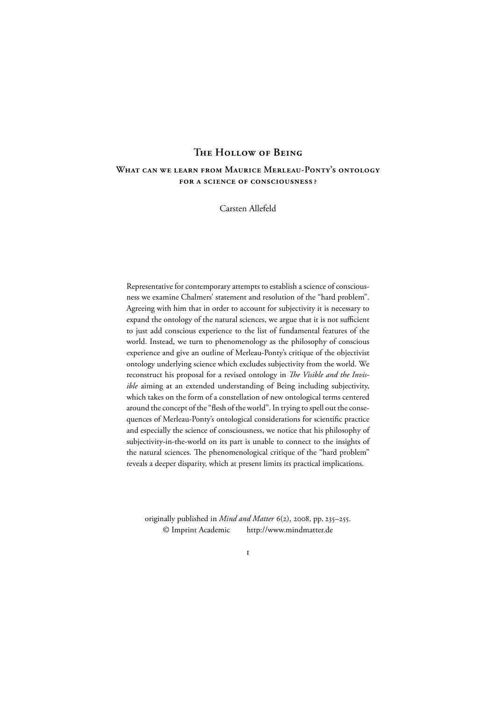# THE HOLLOW OF BEING

# **WHAT CAN WE LEARN FROM MAURICE MERLEAU-PONTY'S ONTOLOGY EOR A SCIENCE OF CONSCIOUSNESS?**

Carsten Allefeld

Representative for contemporary attempts to establish a science of consciousness we examine Chalmers' statement and resolution of the "hard problem". Agreeing with him that in order to account for subjectivity it is necessary to expand the ontology of the natural sciences, we argue that it is not sufficient to just add conscious experience to the list of fundamental features of the world. Instead, we turn to phenomenology as the philosophy of conscious experience and give an outline of Merleau-Ponty's critique of the objectivist ontology underlying science which excludes subjectivity from the world. We reconstruct his proposal for a revised ontology in *The Visible and the Invisible* aiming at an extended understanding of Being including subjectivity, which takes on the form of a constellation of new ontological terms centered around the concept of the "flesh of the world". In trying to spell out the consequences of Merleau-Ponty's ontological considerations for scientific practice and especially the science of consciousness, we notice that his philosophy of subjectivity-in-the-world on its part is unable to connect to the insights of the natural sciences. The phenomenological critique of the "hard problem" reveals a deeper disparity, which at present limits its practical implications.

originally published in *Mind and Matter*  $6(2)$ , 2008, pp. 235–255. © Imprint Academic http://www.mindmatter.de

 $\mathbf{I}$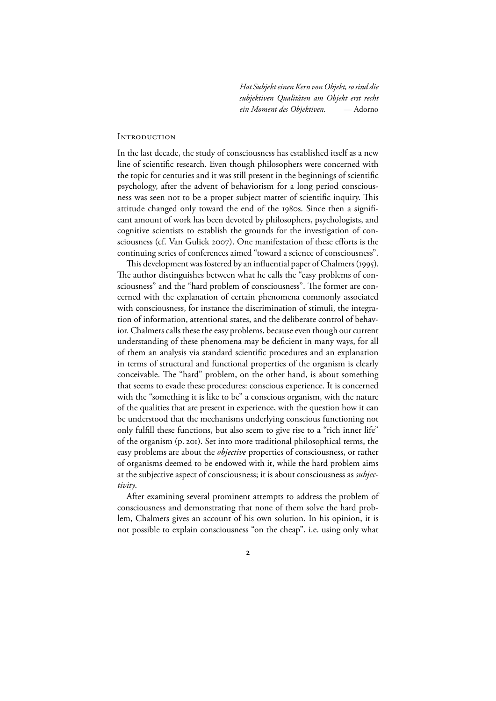*Hat Subjekt einen Kern von Objekt, so sind die subjektiven Qualitäten am Objekt erst recht ein Moment des Objektiven.* — Adorno

#### **INTRODUCTION**

In the last decade, the study of consciousness has established itself as a new line of scientific research. Even though philosophers were concerned with the topic for centuries and it was still present in the beginnings of scientific psychology, after the advent of behaviorism for a long period consciousness was seen not to be a proper subject matter of scientific inquiry. This attitude changed only toward the end of the 1980s. Since then a significant amount of work has been devoted by philosophers, psychologists, and cognitive scientists to establish the grounds for the investigation of consciousness (cf. Van Gulick 2007). One manifestation of these efforts is the continuing series of conferences aimed "toward a science of consciousness".

This development was fostered by an influential paper of Chalmers (1995). The author distinguishes between what he calls the "easy problems of consciousness" and the "hard problem of consciousness". The former are concerned with the explanation of certain phenomena commonly associated with consciousness, for instance the discrimination of stimuli, the integration of information, attentional states, and the deliberate control of behavior. Chalmers calls these the easy problems, because even though our current understanding of these phenomena may be deficient in many ways, for all of them an analysis via standard scientific procedures and an explanation in terms of structural and functional properties of the organism is clearly conceivable. The "hard" problem, on the other hand, is about something that seems to evade these procedures: conscious experience. It is concerned with the "something it is like to be" a conscious organism, with the nature of the qualities that are present in experience, with the question how it can be understood that the mechanisms underlying conscious functioning not only fulfill these functions, but also seem to give rise to a "rich inner life" of the organism (p. 201). Set into more traditional philosophical terms, the easy problems are about the *objective* properties of consciousness, or rather of organisms deemed to be endowed with it, while the hard problem aims at the subjective aspect of consciousness; it is about consciousness as *subjectivity*.

After examining several prominent attempts to address the problem of consciousness and demonstrating that none of them solve the hard problem, Chalmers gives an account of his own solution. In his opinion, it is not possible to explain consciousness "on the cheap", i.e. using only what

 $\mathbf{2}$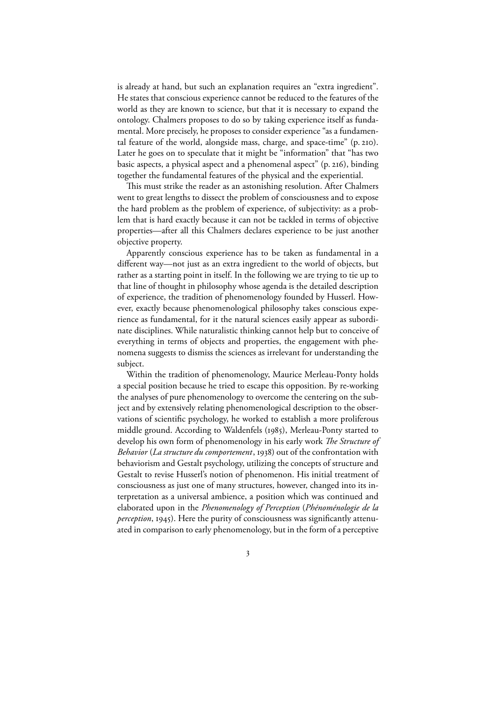is already at hand, but such an explanation requires an "extra ingredient". He states that conscious experience cannot be reduced to the features of the world as they are known to science, but that it is necessary to expand the ontology. Chalmers proposes to do so by taking experience itself as fundamental. More precisely, he proposes to consider experience "as a fundamental feature of the world, alongside mass, charge, and space-time" (p. 210). Later he goes on to speculate that it might be "information" that "has two basic aspects, a physical aspect and a phenomenal aspect" (p. 216), binding together the fundamental features of the physical and the experiential.

This must strike the reader as an astonishing resolution. After Chalmers went to great lengths to dissect the problem of consciousness and to expose the hard problem as the problem of experience, of subjectivity: as a problem that is hard exactly because it can not be tackled in terms of objective properties—after all this Chalmers declares experience to be just another objective property.

Apparently conscious experience has to be taken as fundamental in a different way—not just as an extra ingredient to the world of objects, but rather as a starting point in itself. In the following we are trying to tie up to that line of thought in philosophy whose agenda is the detailed description of experience, the tradition of phenomenology founded by Husserl. However, exactly because phenomenological philosophy takes conscious experience as fundamental, for it the natural sciences easily appear as subordinate disciplines. While naturalistic thinking cannot help but to conceive of everything in terms of objects and properties, the engagement with phenomena suggests to dismiss the sciences as irrelevant for understanding the subject.

Within the tradition of phenomenology, Maurice Merleau-Ponty holds a special position because he tried to escape this opposition. By re-working the analyses of pure phenomenology to overcome the centering on the subject and by extensively relating phenomenological description to the observations of scientific psychology, he worked to establish a more proliferous middle ground. According to Waldenfels (1985), Merleau-Ponty started to develop his own form of phenomenology in his early work *The Structure of Behavior* (*La structure du comportement*, 1938) out of the confrontation with behaviorism and Gestalt psychology, utilizing the concepts of structure and Gestalt to revise Husserl's notion of phenomenon. His initial treatment of consciousness as just one of many structures, however, changed into its interpretation as a universal ambience, a position which was continued and elaborated upon in the *Phenomenology of Perception* (*Phénoménologie de la perception*, 1945). Here the purity of consciousness was significantly attenuated in comparison to early phenomenology, but in the form of a perceptive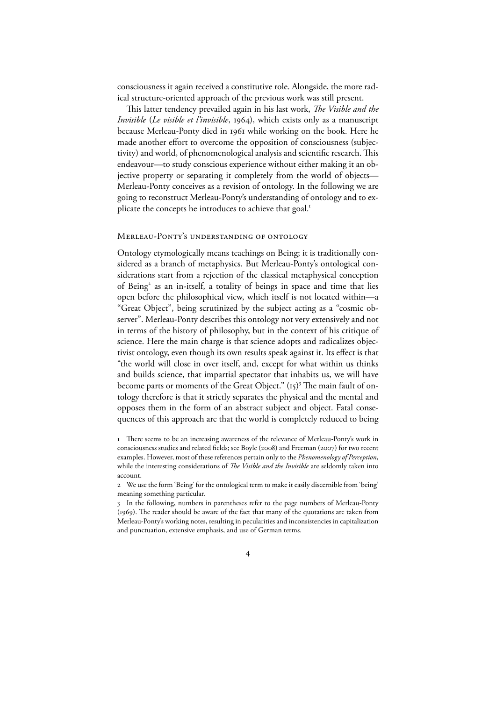consciousness it again received a constitutive role. Alongside, the more radical structure-oriented approach of the previous work was still present.

This latter tendency prevailed again in his last work, *The Visible and the Invisible* (*Le visible et l'invisible*, 1964), which exists only as a manuscript because Merleau-Ponty died in 1961 while working on the book. Here he made another effort to overcome the opposition of consciousness (subjectivity) and world, of phenomenological analysis and scientific research. This endeavour—to study conscious experience without either making it an objective property or separating it completely from the world of objects— Merleau-Ponty conceives as a revision of ontology. In the following we are going to reconstruct Merleau-Ponty's understanding of ontology and to explicate the concepts he introduces to achieve that goal.<sup>1</sup>

### MERLEAU-PONTY'S UNDERSTANDING OF ONTOLOGY

Ontology etymologically means teachings on Being; it is traditionally considered as a branch of metaphysics. But Merleau-Ponty's ontological considerations start from a rejection of the classical metaphysical conception of Being<sup>2</sup> as an in-itself, a totality of beings in space and time that lies open before the philosophical view, which itself is not located within—a "Great Object", being scrutinized by the subject acting as a "cosmic observer". Merleau-Ponty describes this ontology not very extensively and not in terms of the history of philosophy, but in the context of his critique of science. Here the main charge is that science adopts and radicalizes objectivist ontology, even though its own results speak against it. Its effect is that "the world will close in over itself, and, except for what within us thinks and builds science, that impartial spectator that inhabits us, we will have become parts or moments of the Great Object."  $(t<sub>5</sub>)$ <sup>3</sup> The main fault of ontology therefore is that it strictly separates the physical and the mental and opposes them in the form of an abstract subject and object. Fatal consequences of this approach are that the world is completely reduced to being

#### $\overline{4}$

I There seems to be an increasing awareness of the relevance of Merleau-Ponty's work in consciousness studies and related fields; see Boyle (2008) and Freeman (2007) for two recent examples. However, most of these references pertain only to the *Phenomenology of Perception*, while the interesting considerations of *The Visible and the Invisible* are seldomly taken into account.

We use the form 'Being' for the ontological term to make it easily discernible from 'being' meaning something particular.

In the following, numbers in parentheses refer to the page numbers of Merleau-Ponty (1969). The reader should be aware of the fact that many of the quotations are taken from Merleau-Ponty's working notes, resulting in pecularities and inconsistencies in capitalization and punctuation, extensive emphasis, and use of German terms.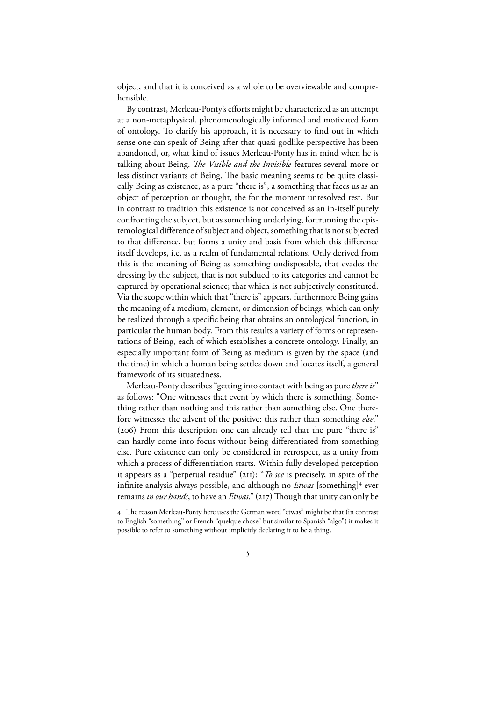object, and that it is conceived as a whole to be overviewable and comprehensible.

By contrast, Merleau-Ponty's efforts might be characterized as an attempt at a non-metaphysical, phenomenologically informed and motivated form of ontology. To clarify his approach, it is necessary to find out in which sense one can speak of Being after that quasi-godlike perspective has been abandoned, or, what kind of issues Merleau-Ponty has in mind when he is talking about Being. *The Visible and the Invisible* features several more or less distinct variants of Being. The basic meaning seems to be quite classically Being as existence, as a pure "there is", a something that faces us as an object of perception or thought, the for the moment unresolved rest. But in contrast to tradition this existence is not conceived as an in-itself purely confronting the subject, but as something underlying, forerunning the epistemological difference of subject and object, something that is not subjected to that difference, but forms a unity and basis from which this difference itself develops, i.e. as a realm of fundamental relations. Only derived from this is the meaning of Being as something undisposable, that evades the dressing by the subject, that is not subdued to its categories and cannot be captured by operational science; that which is not subjectively constituted. Via the scope within which that "there is" appears, furthermore Being gains the meaning of a medium, element, or dimension of beings, which can only be realized through a specific being that obtains an ontological function, in particular the human body. From this results a variety of forms or representations of Being, each of which establishes a concrete ontology. Finally, an especially important form of Being as medium is given by the space (and the time) in which a human being settles down and locates itself, a general framework of its situatedness.

Merleau-Ponty describes "getting into contact with being as pure*there is*" as follows: "One witnesses that event by which there is something. Something rather than nothing and this rather than something else. One therefore witnesses the advent of the positive: this rather than something *else*."  $(206)$  From this description one can already tell that the pure "there is" can hardly come into focus without being differentiated from something else. Pure existence can only be considered in retrospect, as a unity from which a process of differentiation starts. Within fully developed perception it appears as a "perpetual residue"  $(2II)$ : "*To see* is precisely, in spite of the infinite analysis always possible, and although no *Etwas* [something]<sup>4</sup> ever remains *in our hands*, to have an *Etwas*." (217) Though that unity can only be

4 The reason Merleau-Ponty here uses the German word "etwas" might be that (in contrast to English "something" or French "quelque chose" but similar to Spanish "algo") it makes it possible to refer to something without implicitly declaring it to be a thing.

 $\overline{5}$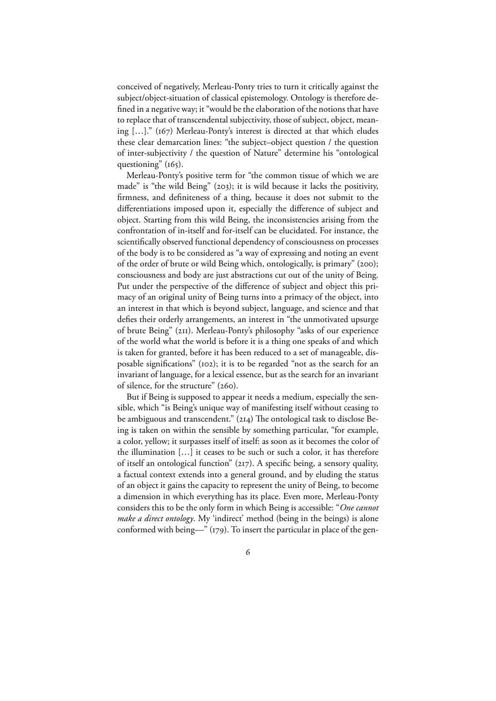conceived of negatively, Merleau-Ponty tries to turn it critically against the subject/object-situation of classical epistemology. Ontology is therefore defined in a negative way; it "would be the elaboration of the notions that have to replace that of transcendental subjectivity, those of subject, object, meaning [...]." (167) Merleau-Ponty's interest is directed at that which eludes these clear demarcation lines: "the subject–object question / the question of inter-subjectivity / the question of Nature" determine his "ontological questioning"  $(165)$ .

Merleau-Ponty's positive term for "the common tissue of which we are made" is "the wild Being"  $(203)$ ; it is wild because it lacks the positivity, firmness, and definiteness of a thing, because it does not submit to the differentiations imposed upon it, especially the difference of subject and object. Starting from this wild Being, the inconsistencies arising from the confrontation of in-itself and for-itself can be elucidated. For instance, the scientifically observed functional dependency of consciousness on processes of the body is to be considered as "a way of expressing and noting an event of the order of brute or wild Being which, ontologically, is primary" (200); consciousness and body are just abstractions cut out of the unity of Being. Put under the perspective of the difference of subject and object this primacy of an original unity of Being turns into a primacy of the object, into an interest in that which is beyond subject, language, and science and that defies their orderly arrangements, an interest in "the unmotivated upsurge of brute Being" (211). Merleau-Ponty's philosophy "asks of our experience of the world what the world is before it is a thing one speaks of and which is taken for granted, before it has been reduced to a set of manageable, disposable significations" (102); it is to be regarded "not as the search for an invariant of language, for a lexical essence, but as the search for an invariant of silence, for the structure" (260).

But if Being is supposed to appear it needs a medium, especially the sensible, which "is Being's unique way of manifesting itself without ceasing to be ambiguous and transcendent." (214) The ontological task to disclose Being is taken on within the sensible by something particular, "for example, a color, yellow; it surpasses itself of itself: as soon as it becomes the color of the illumination […] it ceases to be such or such a color, it has therefore of itself an ontological function" (217). A specific being, a sensory quality, a factual context extends into a general ground, and by eluding the status of an object it gains the capacity to represent the unity of Being, to become a dimension in which everything has its place. Even more, Merleau-Ponty considers this to be the only form in which Being is accessible: "*One cannot make a direct ontology*. My 'indirect' method (being in the beings) is alone conformed with being—"  $(179)$ . To insert the particular in place of the gen-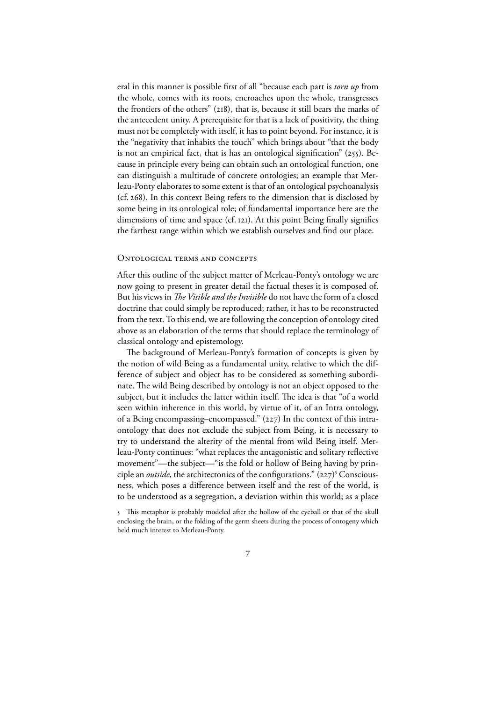eral in this manner is possible first of all "because each part is *torn up* from the whole, comes with its roots, encroaches upon the whole, transgresses the frontiers of the others"  $(218)$ , that is, because it still bears the marks of the antecedent unity. A prerequisite for that is a lack of positivity, the thing must not be completely with itself, it has to point beyond. For instance, it is the "negativity that inhabits the touch" which brings about "that the body is not an empirical fact, that is has an ontological signification"  $(255)$ . Because in principle every being can obtain such an ontological function, one can distinguish a multitude of concrete ontologies; an example that Merleau-Ponty elaborates to some extent is that of an ontological psychoanalysis (cf. 268). In this context Being refers to the dimension that is disclosed by some being in its ontological role; of fundamental importance here are the dimensions of time and space (cf. 121). At this point Being finally signifies the farthest range within which we establish ourselves and find our place.

#### ONTOLOGICAL TERMS AND CONCEPTS

After this outline of the subject matter of Merleau-Ponty's ontology we are now going to present in greater detail the factual theses it is composed of. But his views in *The Visible and the Invisible* do not have the form of a closed doctrine that could simply be reproduced; rather, it has to be reconstructed from the text. To this end, we are following the conception of ontology cited above as an elaboration of the terms that should replace the terminology of classical ontology and epistemology.

The background of Merleau-Ponty's formation of concepts is given by the notion of wild Being as a fundamental unity, relative to which the difference of subject and object has to be considered as something subordinate. The wild Being described by ontology is not an object opposed to the subject, but it includes the latter within itself. The idea is that "of a world seen within inherence in this world, by virtue of it, of an Intra ontology, of a Being encompassing–encompassed."  $(227)$  In the context of this intraontology that does not exclude the subject from Being, it is necessary to try to understand the alterity of the mental from wild Being itself. Merleau-Ponty continues: "what replaces the antagonistic and solitary reflective movement"—the subject—"is the fold or hollow of Being having by principle an *outside*, the architectonics of the configurations." (227)<sup>5</sup> Consciousness, which poses a difference between itself and the rest of the world, is to be understood as a segregation, a deviation within this world; as a place

 $\overline{7}$ 

<sup>5</sup> This metaphor is probably modeled after the hollow of the eyeball or that of the skull enclosing the brain, or the folding of the germ sheets during the process of ontogeny which held much interest to Merleau-Ponty.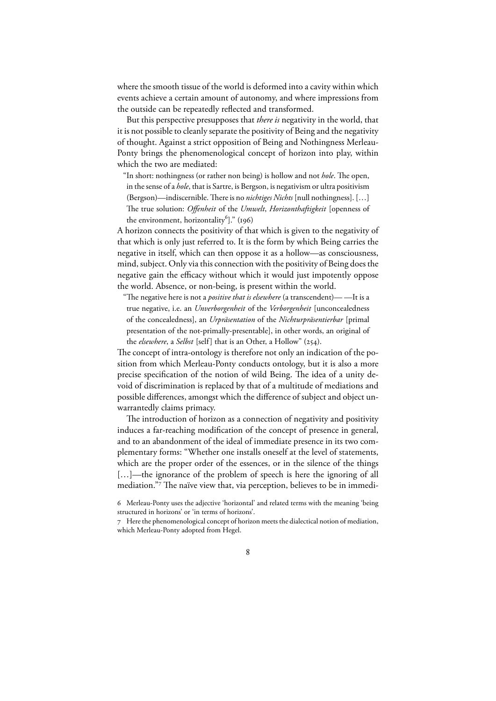where the smooth tissue of the world is deformed into a cavity within which events achieve a certain amount of autonomy, and where impressions from the outside can be repeatedly reflected and transformed.

But this perspective presupposes that *there is* negativity in the world, that it is not possible to cleanly separate the positivity of Being and the negativity of thought. Against a strict opposition of Being and Nothingness Merleau-Ponty brings the phenomenological concept of horizon into play, within which the two are mediated:

"In short: nothingness (or rather non being) is hollow and not *hole*. The open,

- in the sense of a *hole*, that is Sartre, is Bergson, is negativism or ultra positivism (Bergson)—indiscernible. There is no *nichtiges Nichts* [null nothingness]. [...]
- e true solution: *Offenheit* of the *Umwelt*, *Horizonthaftigkeit* [openness of the environment, horizontality<sup>6</sup>]." (196)

A horizon connects the positivity of that which is given to the negativity of that which is only just referred to. It is the form by which Being carries the negative in itself, which can then oppose it as a hollow—as consciousness, mind, subject. Only via this connection with the positivity of Being does the negative gain the efficacy without which it would just impotently oppose the world. Absence, or non-being, is present within the world.

"The negative here is not a *positive that is elsewhere* (a transcendent)——It is a true negative, i.e. an *Unverborgenheit* of the *Verborgenheit* [unconcealedness of the concealedness], an *Urpräsentation* of the *Nichturpräsentierbar* [primal presentation of the not-primally-presentable], in other words, an original of the *elsewhere*, a *Selbst* [self] that is an Other, a Hollow" (254).

The concept of intra-ontology is therefore not only an indication of the position from which Merleau-Ponty conducts ontology, but it is also a more precise specification of the notion of wild Being. The idea of a unity devoid of discrimination is replaced by that of a multitude of mediations and possible differences, amongst which the difference of subject and object unwarrantedly claims primacy.

The introduction of horizon as a connection of negativity and positivity induces a far-reaching modification of the concept of presence in general, and to an abandonment of the ideal of immediate presence in its two complementary forms: "Whether one installs oneself at the level of statements, which are the proper order of the essences, or in the silence of the things [...]—the ignorance of the problem of speech is here the ignoring of all mediation."7 The naïve view that, via perception, believes to be in immedi-

Here the phenomenological concept of horizon meets the dialectical notion of mediation, which Merleau-Ponty adopted from Hegel.



Merleau-Ponty uses the adjective 'horizontal' and related terms with the meaning 'being structured in horizons' or 'in terms of horizons'.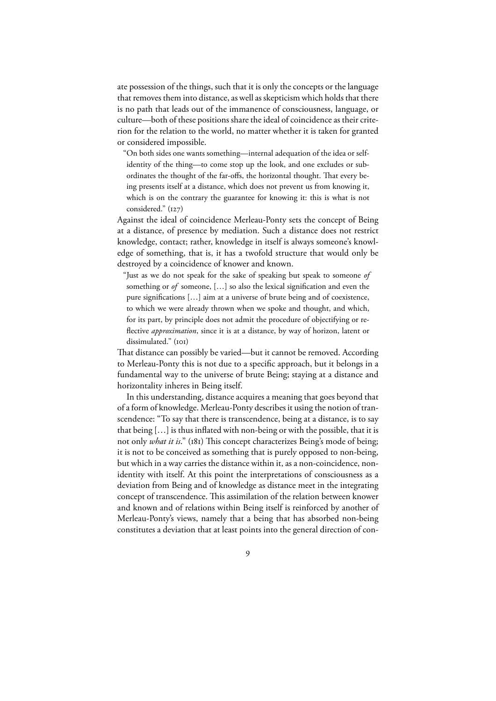ate possession of the things, such that it is only the concepts or the language that removes them into distance, as well as skepticism which holds that there is no path that leads out of the immanence of consciousness, language, or culture—both of these positions share the ideal of coincidence as their criterion for the relation to the world, no matter whether it is taken for granted or considered impossible.

"On both sides one wants something—internal adequation of the idea or selfidentity of the thing—to come stop up the look, and one excludes or subordinates the thought of the far-offs, the horizontal thought. That every being presents itself at a distance, which does not prevent us from knowing it, which is on the contrary the guarantee for knowing it: this is what is not considered."  $(i27)$ 

Against the ideal of coincidence Merleau-Ponty sets the concept of Being at a distance, of presence by mediation. Such a distance does not restrict knowledge, contact; rather, knowledge in itself is always someone's knowledge of something, that is, it has a twofold structure that would only be destroyed by a coincidence of knower and known.

"Just as we do not speak for the sake of speaking but speak to someone *of* something or *of* someone, […] so also the lexical signification and even the pure significations […] aim at a universe of brute being and of coexistence, to which we were already thrown when we spoke and thought, and which, for its part, by principle does not admit the procedure of objectifying or reflective *approximation*, since it is at a distance, by way of horizon, latent or dissimulated." (IOI)

That distance can possibly be varied—but it cannot be removed. According to Merleau-Ponty this is not due to a specific approach, but it belongs in a fundamental way to the universe of brute Being; staying at a distance and horizontality inheres in Being itself.

In this understanding, distance acquires a meaning that goes beyond that of a form of knowledge. Merleau-Ponty describes it using the notion of transcendence: "To say that there is transcendence, being at a distance, is to say that being […] is thus inflated with non-being or with the possible, that it is not only *what it is*." (181) This concept characterizes Being's mode of being; it is not to be conceived as something that is purely opposed to non-being, but which in a way carries the distance within it, as a non-coincidence, nonidentity with itself. At this point the interpretations of consciousness as a deviation from Being and of knowledge as distance meet in the integrating concept of transcendence. This assimilation of the relation between knower and known and of relations within Being itself is reinforced by another of Merleau-Ponty's views, namely that a being that has absorbed non-being constitutes a deviation that at least points into the general direction of con-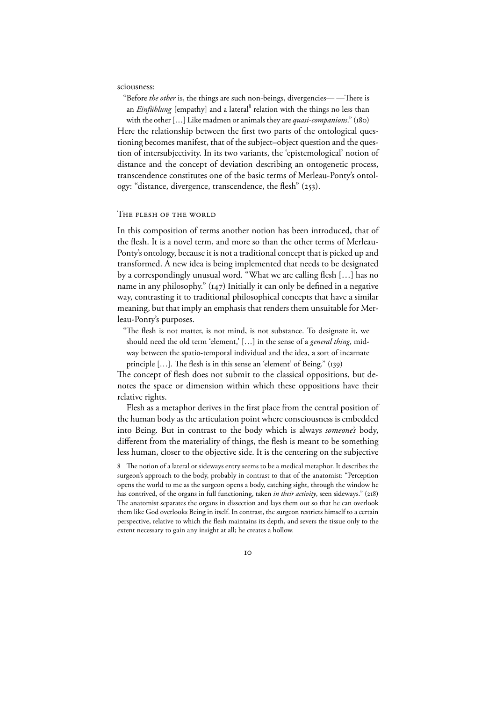sciousness:

"Before *the other* is, the things are such non-beings, divergencies——There is an *Einfühlung* [empathy] and a lateral<sup>8</sup> relation with the things no less than with the other [...] Like madmen or animals they are *quasi-companions.*" (180)

Here the relationship between the first two parts of the ontological questioning becomes manifest, that of the subject–object question and the question of intersubjectivity. In its two variants, the 'epistemological' notion of distance and the concept of deviation describing an ontogenetic process, transcendence constitutes one of the basic terms of Merleau-Ponty's ontology: "distance, divergence, transcendence, the flesh" (253).

#### THE FLESH OF THE WORLD

In this composition of terms another notion has been introduced, that of the flesh. It is a novel term, and more so than the other terms of Merleau-Ponty's ontology, because it is not a traditional concept that is picked up and transformed. A new idea is being implemented that needs to be designated by a correspondingly unusual word. "What we are calling flesh […] has no name in any philosophy."  $(147)$  Initially it can only be defined in a negative way, contrasting it to traditional philosophical concepts that have a similar meaning, but that imply an emphasis that renders them unsuitable for Merleau-Ponty's purposes.

"The flesh is not matter, is not mind, is not substance. To designate it, we should need the old term 'element,' […] in the sense of a *general thing*, midway between the spatio-temporal individual and the idea, a sort of incarnate principle  $[...]$ . The flesh is in this sense an 'element' of Being." (139)

The concept of flesh does not submit to the classical oppositions, but denotes the space or dimension within which these oppositions have their relative rights.

Flesh as a metaphor derives in the first place from the central position of the human body as the articulation point where consciousness is embedded into Being. But in contrast to the body which is always *someone's* body, different from the materiality of things, the flesh is meant to be something less human, closer to the objective side. It is the centering on the subjective

8 The notion of a lateral or sideways entry seems to be a medical metaphor. It describes the surgeon's approach to the body, probably in contrast to that of the anatomist: "Perception opens the world to me as the surgeon opens a body, catching sight, through the window he has contrived, of the organs in full functioning, taken *in their activity*, seen sideways." (218) The anatomist separates the organs in dissection and lays them out so that he can overlook them like God overlooks Being in itself. In contrast, the surgeon restricts himself to a certain perspective, relative to which the flesh maintains its depth, and severs the tissue only to the extent necessary to gain any insight at all; he creates a hollow.

IO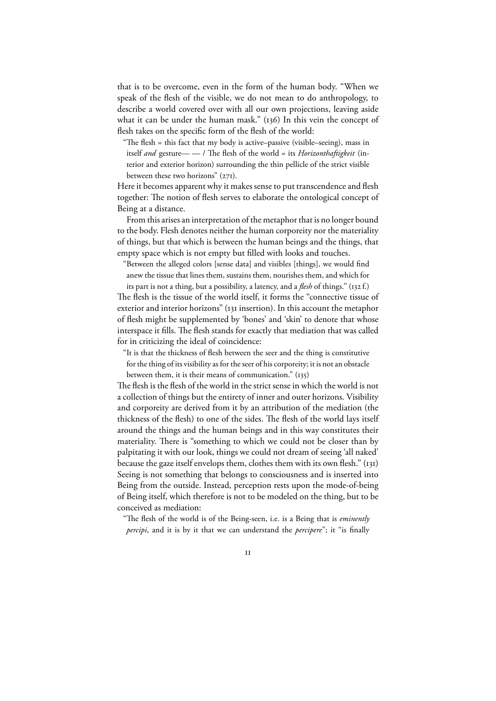that is to be overcome, even in the form of the human body. "When we speak of the flesh of the visible, we do not mean to do anthropology, to describe a world covered over with all our own projections, leaving aside what it can be under the human mask."  $(136)$  In this vein the concept of flesh takes on the specific form of the flesh of the world:

"The flesh  $=$  this fact that my body is active–passive (visible–seeing), mass in itself *and* gesture— — / The flesh of the world = its *Horizonthaftigkeit* (interior and exterior horizon) surrounding the thin pellicle of the strict visible between these two horizons"  $(271)$ .

Here it becomes apparent why it makes sense to put transcendence and flesh together: The notion of flesh serves to elaborate the ontological concept of Being at a distance.

From this arises an interpretation of the metaphor that is no longer bound to the body. Flesh denotes neither the human corporeity nor the materiality of things, but that which is between the human beings and the things, that empty space which is not empty but filled with looks and touches.

"Between the alleged colors [sense data] and visibles [things], we would find anew the tissue that lines them, sustains them, nourishes them, and which for

its part is not a thing, but a possibility, a latency, and a *flesh* of things." (132 f.) The flesh is the tissue of the world itself, it forms the "connective tissue of exterior and interior horizons" (131 insertion). In this account the metaphor of flesh might be supplemented by 'bones' and 'skin' to denote that whose interspace it fills. The flesh stands for exactly that mediation that was called for in criticizing the ideal of coincidence:

"It is that the thickness of flesh between the seer and the thing is constitutive for the thing of its visibility as for the seer of his corporeity; it is not an obstacle

between them, it is their means of communication."  $(135)$ 

The flesh is the flesh of the world in the strict sense in which the world is not a collection of things but the entirety of inner and outer horizons. Visibility and corporeity are derived from it by an attribution of the mediation (the thickness of the flesh) to one of the sides. The flesh of the world lays itself around the things and the human beings and in this way constitutes their materiality. There is "something to which we could not be closer than by palpitating it with our look, things we could not dream of seeing 'all naked' because the gaze itself envelops them, clothes them with its own flesh."  $(i<sub>31</sub>)$ Seeing is not something that belongs to consciousness and is inserted into Being from the outside. Instead, perception rests upon the mode-of-being of Being itself, which therefore is not to be modeled on the thing, but to be conceived as mediation:

"The flesh of the world is of the Being-seen, i.e. is a Being that is *eminently percipi*, and it is by it that we can understand the *percipere*"; it "is finally

 $\overline{11}$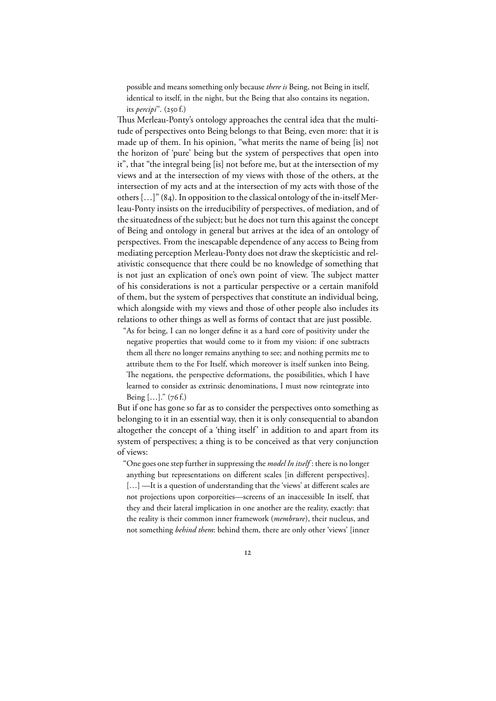possible and means something only because *there is* Being, not Being in itself, identical to itself, in the night, but the Being that also contains its negation, its *percipi*". (250 f.)

Thus Merleau-Ponty's ontology approaches the central idea that the multitude of perspectives onto Being belongs to that Being, even more: that it is made up of them. In his opinion, "what merits the name of being [is] not the horizon of 'pure' being but the system of perspectives that open into it", that "the integral being [is] not before me, but at the intersection of my views and at the intersection of my views with those of the others, at the intersection of my acts and at the intersection of my acts with those of the others  $\left[\ldots\right]$ " (84). In opposition to the classical ontology of the in-itself Merleau-Ponty insists on the irreducibility of perspectives, of mediation, and of the situatedness of the subject; but he does not turn this against the concept of Being and ontology in general but arrives at the idea of an ontology of perspectives. From the inescapable dependence of any access to Being from mediating perception Merleau-Ponty does not draw the skepticistic and relativistic consequence that there could be no knowledge of something that is not just an explication of one's own point of view. The subject matter of his considerations is not a particular perspective or a certain manifold of them, but the system of perspectives that constitute an individual being, which alongside with my views and those of other people also includes its relations to other things as well as forms of contact that are just possible.

"As for being, I can no longer define it as a hard core of positivity under the negative properties that would come to it from my vision: if one subtracts them all there no longer remains anything to see; and nothing permits me to attribute them to the For Itself, which moreover is itself sunken into Being. The negations, the perspective deformations, the possibilities, which I have learned to consider as extrinsic denominations, I must now reintegrate into Being  $[...]''(76f.)$ 

But if one has gone so far as to consider the perspectives onto something as belonging to it in an essential way, then it is only consequential to abandon altogether the concept of a 'thing itself' in addition to and apart from its system of perspectives; a thing is to be conceived as that very conjunction of views:

"One goes one step further in suppressing the *model In itself* : there is no longer anything but representations on different scales [in different perspectives]. [...] —It is a question of understanding that the 'views' at different scales are not projections upon corporeities—screens of an inaccessible In itself, that they and their lateral implication in one another are the reality, exactly: that the reality is their common inner framework (*membrure*), their nucleus, and not something *behind them*: behind them, there are only other 'views' [inner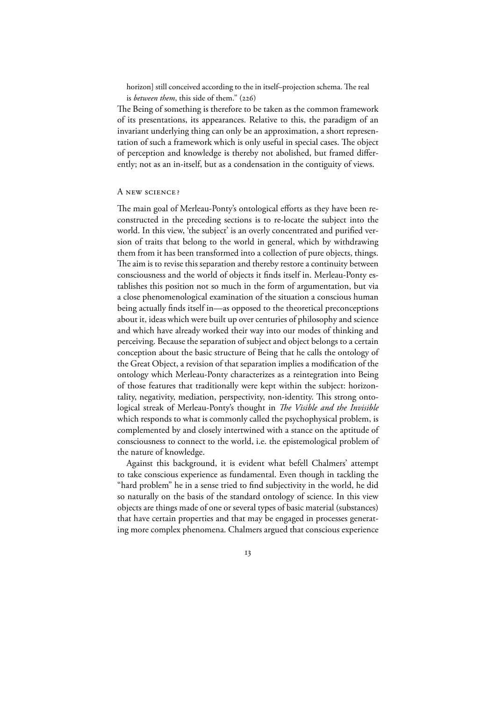horizon] still conceived according to the in itself–projection schema. The real is *between them*, this side of them." (226)

The Being of something is therefore to be taken as the common framework of its presentations, its appearances. Relative to this, the paradigm of an invariant underlying thing can only be an approximation, a short representation of such a framework which is only useful in special cases. The object of perception and knowledge is thereby not abolished, but framed differently; not as an in-itself, but as a condensation in the contiguity of views.

#### A NEW SCIENCE?

The main goal of Merleau-Ponty's ontological efforts as they have been reconstructed in the preceding sections is to re-locate the subject into the world. In this view, 'the subject' is an overly concentrated and purified version of traits that belong to the world in general, which by withdrawing them from it has been transformed into a collection of pure objects, things. The aim is to revise this separation and thereby restore a continuity between consciousness and the world of objects it finds itself in. Merleau-Ponty establishes this position not so much in the form of argumentation, but via a close phenomenological examination of the situation a conscious human being actually finds itself in—as opposed to the theoretical preconceptions about it, ideas which were built up over centuries of philosophy and science and which have already worked their way into our modes of thinking and perceiving. Because the separation of subject and object belongs to a certain conception about the basic structure of Being that he calls the ontology of the Great Object, a revision of that separation implies a modification of the ontology which Merleau-Ponty characterizes as a reintegration into Being of those features that traditionally were kept within the subject: horizontality, negativity, mediation, perspectivity, non-identity. This strong ontological streak of Merleau-Ponty's thought in *The Visible and the Invisible* which responds to what is commonly called the psychophysical problem, is complemented by and closely intertwined with a stance on the aptitude of consciousness to connect to the world, i.e. the epistemological problem of the nature of knowledge.

Against this background, it is evident what befell Chalmers' attempt to take conscious experience as fundamental. Even though in tackling the "hard problem" he in a sense tried to find subjectivity in the world, he did so naturally on the basis of the standard ontology of science. In this view objects are things made of one or several types of basic material (substances) that have certain properties and that may be engaged in processes generating more complex phenomena. Chalmers argued that conscious experience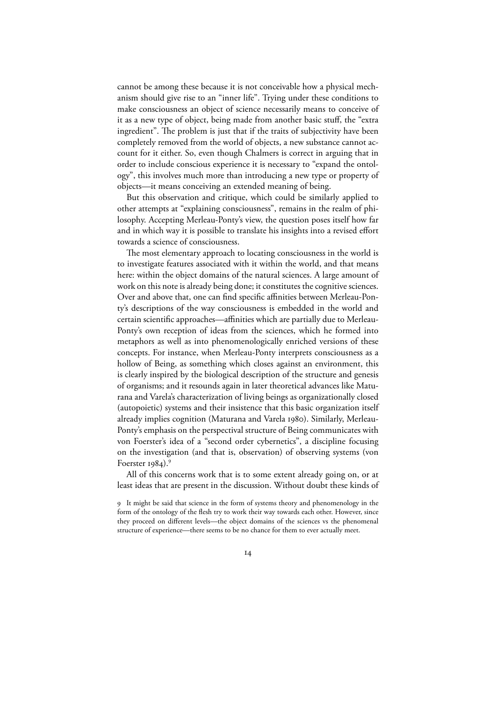cannot be among these because it is not conceivable how a physical mechanism should give rise to an "inner life". Trying under these conditions to make consciousness an object of science necessarily means to conceive of it as a new type of object, being made from another basic stuff, the "extra ingredient". The problem is just that if the traits of subjectivity have been completely removed from the world of objects, a new substance cannot account for it either. So, even though Chalmers is correct in arguing that in order to include conscious experience it is necessary to "expand the ontology", this involves much more than introducing a new type or property of objects—it means conceiving an extended meaning of being.

But this observation and critique, which could be similarly applied to other attempts at "explaining consciousness", remains in the realm of philosophy. Accepting Merleau-Ponty's view, the question poses itself how far and in which way it is possible to translate his insights into a revised effort towards a science of consciousness.

The most elementary approach to locating consciousness in the world is to investigate features associated with it within the world, and that means here: within the object domains of the natural sciences. A large amount of work on this note is already being done; it constitutes the cognitive sciences. Over and above that, one can find specific affinities between Merleau-Ponty's descriptions of the way consciousness is embedded in the world and certain scientific approaches—affinities which are partially due to Merleau-Ponty's own reception of ideas from the sciences, which he formed into metaphors as well as into phenomenologically enriched versions of these concepts. For instance, when Merleau-Ponty interprets consciousness as a hollow of Being, as something which closes against an environment, this is clearly inspired by the biological description of the structure and genesis of organisms; and it resounds again in later theoretical advances like Maturana and Varela's characterization of living beings as organizationally closed (autopoietic) systems and their insistence that this basic organization itself already implies cognition (Maturana and Varela 1980). Similarly, Merleau-Ponty's emphasis on the perspectival structure of Being communicates with von Foerster's idea of a "second order cybernetics", a discipline focusing on the investigation (and that is, observation) of observing systems (von Foerster  $1984$ .

All of this concerns work that is to some extent already going on, or at least ideas that are present in the discussion. Without doubt these kinds of

 $I4$ 

It might be said that science in the form of systems theory and phenomenology in the form of the ontology of the flesh try to work their way towards each other. However, since they proceed on different levels—the object domains of the sciences vs the phenomenal structure of experience—there seems to be no chance for them to ever actually meet.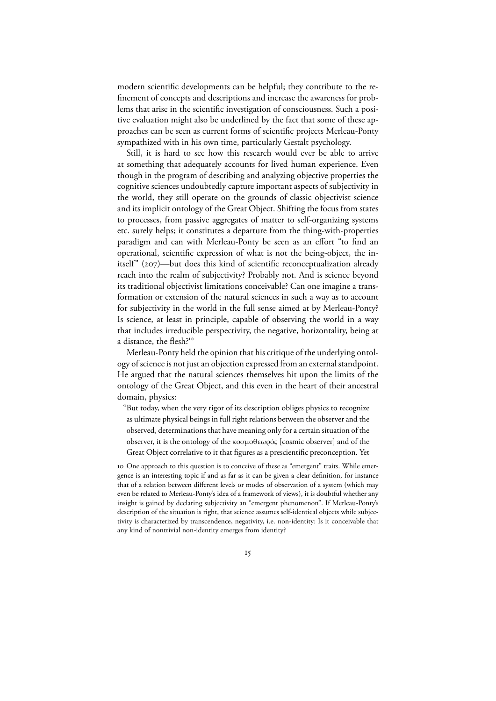modern scientific developments can be helpful; they contribute to the refinement of concepts and descriptions and increase the awareness for problems that arise in the scientific investigation of consciousness. Such a positive evaluation might also be underlined by the fact that some of these approaches can be seen as current forms of scientific projects Merleau-Ponty sympathized with in his own time, particularly Gestalt psychology.

Still, it is hard to see how this research would ever be able to arrive at something that adequately accounts for lived human experience. Even though in the program of describing and analyzing objective properties the cognitive sciences undoubtedly capture important aspects of subjectivity in the world, they still operate on the grounds of classic objectivist science and its implicit ontology of the Great Object. Shifting the focus from states to processes, from passive aggregates of matter to self-organizing systems etc. surely helps; it constitutes a departure from the thing-with-properties paradigm and can with Merleau-Ponty be seen as an effort "to find an operational, scientific expression of what is not the being-object, the initself"  $(207)$ —but does this kind of scientific reconceptualization already reach into the realm of subjectivity? Probably not. And is science beyond its traditional objectivist limitations conceivable? Can one imagine a transformation or extension of the natural sciences in such a way as to account for subjectivity in the world in the full sense aimed at by Merleau-Ponty? Is science, at least in principle, capable of observing the world in a way that includes irreducible perspectivity, the negative, horizontality, being at a distance, the flesh?

Merleau-Ponty held the opinion that his critique of the underlying ontology of science is not just an objection expressed from an external standpoint. He argued that the natural sciences themselves hit upon the limits of the ontology of the Great Object, and this even in the heart of their ancestral domain, physics:

"But today, when the very rigor of its description obliges physics to recognize as ultimate physical beings in full right relations between the observer and the observed, determinations that have meaning only for a certain situation of the observer, it is the ontology of the κοσµοθεωρός [cosmic observer] and of the Great Object correlative to it that figures as a prescientific preconception. Yet

 One approach to this question is to conceive of these as "emergent" traits. While emergence is an interesting topic if and as far as it can be given a clear definition, for instance that of a relation between different levels or modes of observation of a system (which may even be related to Merleau-Ponty's idea of a framework of views), it is doubtful whether any insight is gained by declaring subjectivity an "emergent phenomenon". If Merleau-Ponty's description of the situation is right, that science assumes self-identical objects while subjectivity is characterized by transcendence, negativity, i.e. non-identity: Is it conceivable that any kind of nontrivial non-identity emerges from identity?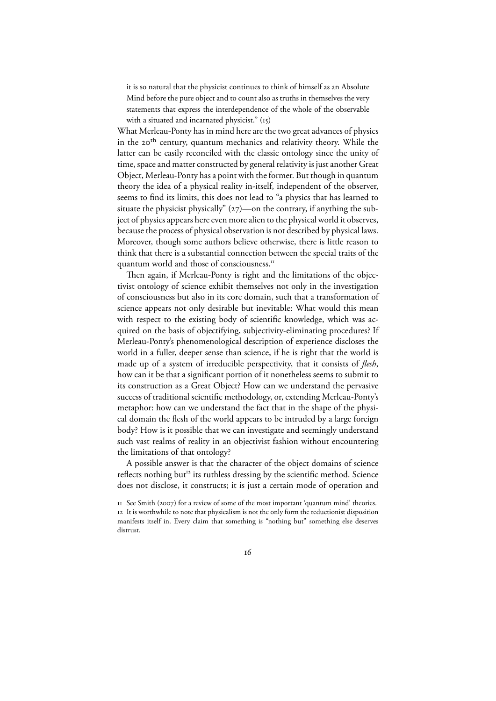it is so natural that the physicist continues to think of himself as an Absolute Mind before the pure object and to count also as truths in themselves the very statements that express the interdependence of the whole of the observable with a situated and incarnated physicist."  $(i5)$ 

What Merleau-Ponty has in mind here are the two great advances of physics in the 20<sup>th</sup> century, quantum mechanics and relativity theory. While the latter can be easily reconciled with the classic ontology since the unity of time, space and matter constructed by general relativity is just another Great Object, Merleau-Ponty has a point with the former. But though in quantum theory the idea of a physical reality in-itself, independent of the observer, seems to find its limits, this does not lead to "a physics that has learned to situate the physicist physically"  $(27)$ —on the contrary, if anything the subject of physics appears here even more alien to the physical world it observes, because the process of physical observation is not described by physical laws. Moreover, though some authors believe otherwise, there is little reason to think that there is a substantial connection between the special traits of the quantum world and those of consciousness.

Then again, if Merleau-Ponty is right and the limitations of the objectivist ontology of science exhibit themselves not only in the investigation of consciousness but also in its core domain, such that a transformation of science appears not only desirable but inevitable: What would this mean with respect to the existing body of scientific knowledge, which was acquired on the basis of objectifying, subjectivity-eliminating procedures? If Merleau-Ponty's phenomenological description of experience discloses the world in a fuller, deeper sense than science, if he is right that the world is made up of a system of irreducible perspectivity, that it consists of *flesh*, how can it be that a significant portion of it nonetheless seems to submit to its construction as a Great Object? How can we understand the pervasive success of traditional scientific methodology, or, extending Merleau-Ponty's metaphor: how can we understand the fact that in the shape of the physical domain the flesh of the world appears to be intruded by a large foreign body? How is it possible that we can investigate and seemingly understand such vast realms of reality in an objectivist fashion without encountering the limitations of that ontology?

A possible answer is that the character of the object domains of science reflects nothing but<sup>12</sup> its ruthless dressing by the scientific method. Science does not disclose, it constructs; it is just a certain mode of operation and

If See Smith (2007) for a review of some of the most important 'quantum mind' theories. It is worthwhile to note that physicalism is not the only form the reductionist disposition manifests itself in. Every claim that something is "nothing but" something else deserves distrust.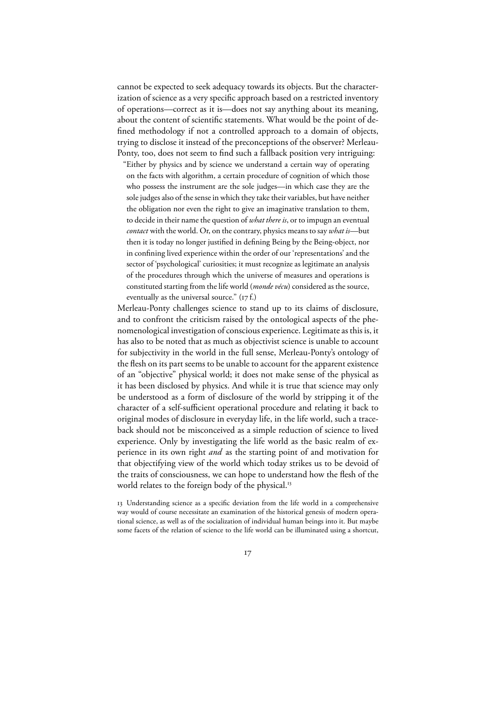cannot be expected to seek adequacy towards its objects. But the characterization of science as a very specific approach based on a restricted inventory of operations—correct as it is—does not say anything about its meaning, about the content of scientific statements. What would be the point of defined methodology if not a controlled approach to a domain of objects, trying to disclose it instead of the preconceptions of the observer? Merleau-Ponty, too, does not seem to find such a fallback position very intriguing:

"Either by physics and by science we understand a certain way of operating on the facts with algorithm, a certain procedure of cognition of which those who possess the instrument are the sole judges—in which case they are the sole judges also of the sense in which they take their variables, but have neither the obligation nor even the right to give an imaginative translation to them, to decide in their name the question of *what there is*, or to impugn an eventual *contact* with the world. Or, on the contrary, physics means to say *what is*—but then it is today no longer justified in defining Being by the Being-object, nor in confining lived experience within the order of our 'representations' and the sector of 'psychological' curiosities; it must recognize as legitimate an analysis of the procedures through which the universe of measures and operations is constituted starting from the life world (*monde vécu*) considered as the source, eventually as the universal source."  $(r \tau f)$ .

Merleau-Ponty challenges science to stand up to its claims of disclosure, and to confront the criticism raised by the ontological aspects of the phenomenological investigation of conscious experience. Legitimate as this is, it has also to be noted that as much as objectivist science is unable to account for subjectivity in the world in the full sense, Merleau-Ponty's ontology of the flesh on its part seems to be unable to account for the apparent existence of an "objective" physical world; it does not make sense of the physical as it has been disclosed by physics. And while it is true that science may only be understood as a form of disclosure of the world by stripping it of the character of a self-sufficient operational procedure and relating it back to original modes of disclosure in everyday life, in the life world, such a traceback should not be misconceived as a simple reduction of science to lived experience. Only by investigating the life world as the basic realm of experience in its own right *and* as the starting point of and motivation for that objectifying view of the world which today strikes us to be devoid of the traits of consciousness, we can hope to understand how the flesh of the world relates to the foreign body of the physical.<sup>13</sup>

 Understanding science as a specific deviation from the life world in a comprehensive way would of course necessitate an examination of the historical genesis of modern operational science, as well as of the socialization of individual human beings into it. But maybe some facets of the relation of science to the life world can be illuminated using a shortcut,

 $I7$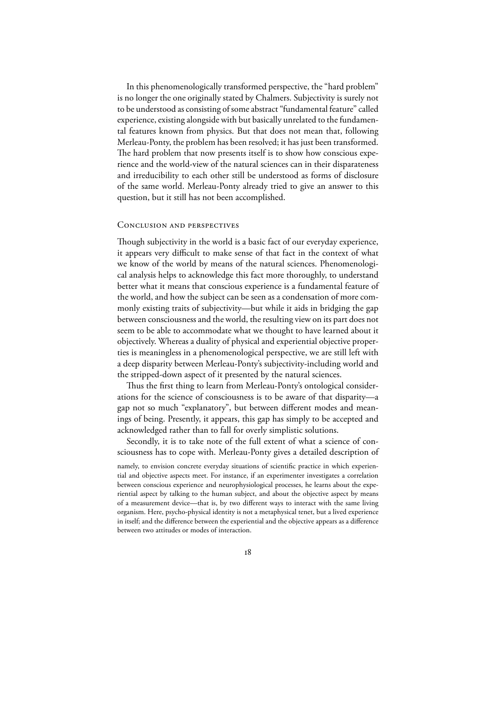In this phenomenologically transformed perspective, the "hard problem" is no longer the one originally stated by Chalmers. Subjectivity is surely not to be understood as consisting of some abstract "fundamental feature" called experience, existing alongside with but basically unrelated to the fundamental features known from physics. But that does not mean that, following Merleau-Ponty, the problem has been resolved; it has just been transformed. The hard problem that now presents itself is to show how conscious experience and the world-view of the natural sciences can in their disparateness and irreducibility to each other still be understood as forms of disclosure of the same world. Merleau-Ponty already tried to give an answer to this question, but it still has not been accomplished.

#### **CONCLUSION AND PERSPECTIVES**

Though subjectivity in the world is a basic fact of our everyday experience, it appears very difficult to make sense of that fact in the context of what we know of the world by means of the natural sciences. Phenomenological analysis helps to acknowledge this fact more thoroughly, to understand better what it means that conscious experience is a fundamental feature of the world, and how the subject can be seen as a condensation of more commonly existing traits of subjectivity—but while it aids in bridging the gap between consciousness and the world, the resulting view on its part does not seem to be able to accommodate what we thought to have learned about it objectively. Whereas a duality of physical and experiential objective properties is meaningless in a phenomenological perspective, we are still left with a deep disparity between Merleau-Ponty's subjectivity-including world and the stripped-down aspect of it presented by the natural sciences.

Thus the first thing to learn from Merleau-Ponty's ontological considerations for the science of consciousness is to be aware of that disparity—a gap not so much "explanatory", but between different modes and meanings of being. Presently, it appears, this gap has simply to be accepted and acknowledged rather than to fall for overly simplistic solutions.

Secondly, it is to take note of the full extent of what a science of consciousness has to cope with. Merleau-Ponty gives a detailed description of

namely, to envision concrete everyday situations of scientific practice in which experiential and objective aspects meet. For instance, if an experimenter investigates a correlation between conscious experience and neurophysiological processes, he learns about the experiential aspect by talking to the human subject, and about the objective aspect by means of a measurement device—that is, by two different ways to interact with the same living organism. Here, psycho-physical identity is not a metaphysical tenet, but a lived experience in itself; and the difference between the experiential and the objective appears as a difference between two attitudes or modes of interaction.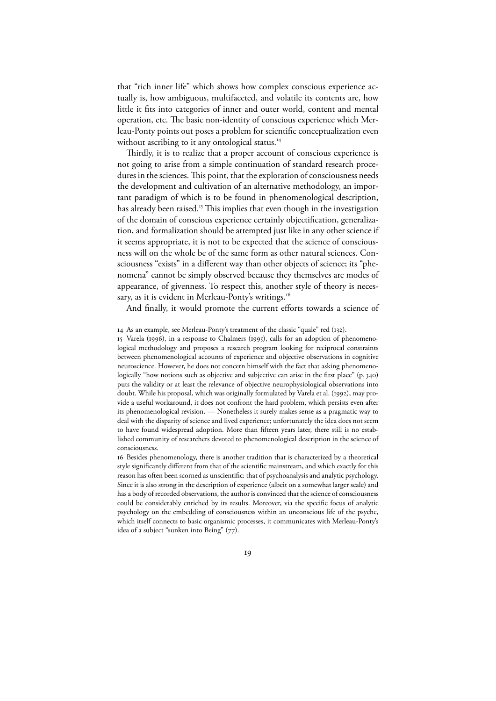that "rich inner life" which shows how complex conscious experience actually is, how ambiguous, multifaceted, and volatile its contents are, how little it fits into categories of inner and outer world, content and mental operation, etc. The basic non-identity of conscious experience which Merleau-Ponty points out poses a problem for scientific conceptualization even without ascribing to it any ontological status.<sup>14</sup>

Thirdly, it is to realize that a proper account of conscious experience is not going to arise from a simple continuation of standard research procedures in the sciences. This point, that the exploration of consciousness needs the development and cultivation of an alternative methodology, an important paradigm of which is to be found in phenomenological description, has already been raised.<sup>15</sup> This implies that even though in the investigation of the domain of conscious experience certainly objectification, generalization, and formalization should be attempted just like in any other science if it seems appropriate, it is not to be expected that the science of consciousness will on the whole be of the same form as other natural sciences. Consciousness "exists" in a different way than other objects of science; its "phenomena" cannot be simply observed because they themselves are modes of appearance, of givenness. To respect this, another style of theory is necessary, as it is evident in Merleau-Ponty's writings.<sup>16</sup>

And finally, it would promote the current efforts towards a science of

15 Varela (1996), in a response to Chalmers (1995), calls for an adoption of phenomenological methodology and proposes a research program looking for reciprocal constraints between phenomenological accounts of experience and objective observations in cognitive neuroscience. However, he does not concern himself with the fact that asking phenomenologically "how notions such as objective and subjective can arise in the first place"  $(p, 340)$ puts the validity or at least the relevance of objective neurophysiological observations into doubt. While his proposal, which was originally formulated by Varela et al. (1992), may provide a useful workaround, it does not confront the hard problem, which persists even after its phenomenological revision. — Nonetheless it surely makes sense as a pragmatic way to deal with the disparity of science and lived experience; unfortunately the idea does not seem to have found widespread adoption. More than fifteen years later, there still is no established community of researchers devoted to phenomenological description in the science of consciousness.

16 Besides phenomenology, there is another tradition that is characterized by a theoretical style significantly different from that of the scientific mainstream, and which exactly for this reason has often been scorned as unscientific: that of psychoanalysis and analytic psychology. Since it is also strong in the description of experience (albeit on a somewhat larger scale) and has a body of recorded observations, the author is convinced that the science of consciousness could be considerably enriched by its results. Moreover, via the specific focus of analytic psychology on the embedding of consciousness within an unconscious life of the psyche, which itself connects to basic organismic processes, it communicates with Merleau-Ponty's idea of a subject "sunken into Being"  $(77)$ .

<sup>14</sup> As an example, see Merleau-Ponty's treatment of the classic "quale" red (132).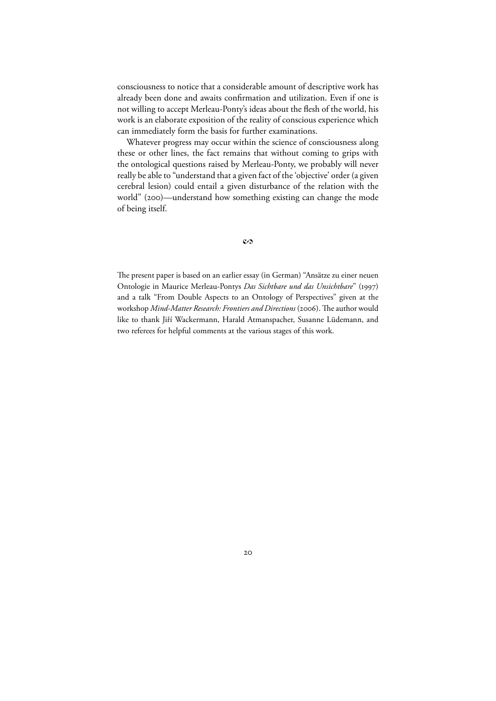consciousness to notice that a considerable amount of descriptive work has already been done and awaits confirmation and utilization. Even if one is not willing to accept Merleau-Ponty's ideas about the flesh of the world, his work is an elaborate exposition of the reality of conscious experience which can immediately form the basis for further examinations.

Whatever progress may occur within the science of consciousness along these or other lines, the fact remains that without coming to grips with the ontological questions raised by Merleau-Ponty, we probably will never really be able to "understand that a given fact of the 'objective' order (a given cerebral lesion) could entail a given disturbance of the relation with the world" (200)—understand how something existing can change the mode of being itself.

#### $\mathbf{c}\boldsymbol{\beta}$

The present paper is based on an earlier essay (in German) "Ansätze zu einer neuen Ontologie in Maurice Merleau-Pontys Das Sichtbare und das Unsichtbare" (1997) and a talk "From Double Aspects to an Ontology of Perspectives" given at the workshop *Mind-Matter Research: Frontiers and Directions* (2006). The author would like to thank Jiří Wackermann, Harald Atmanspacher, Susanne Lüdemann, and two referees for helpful comments at the various stages of this work.